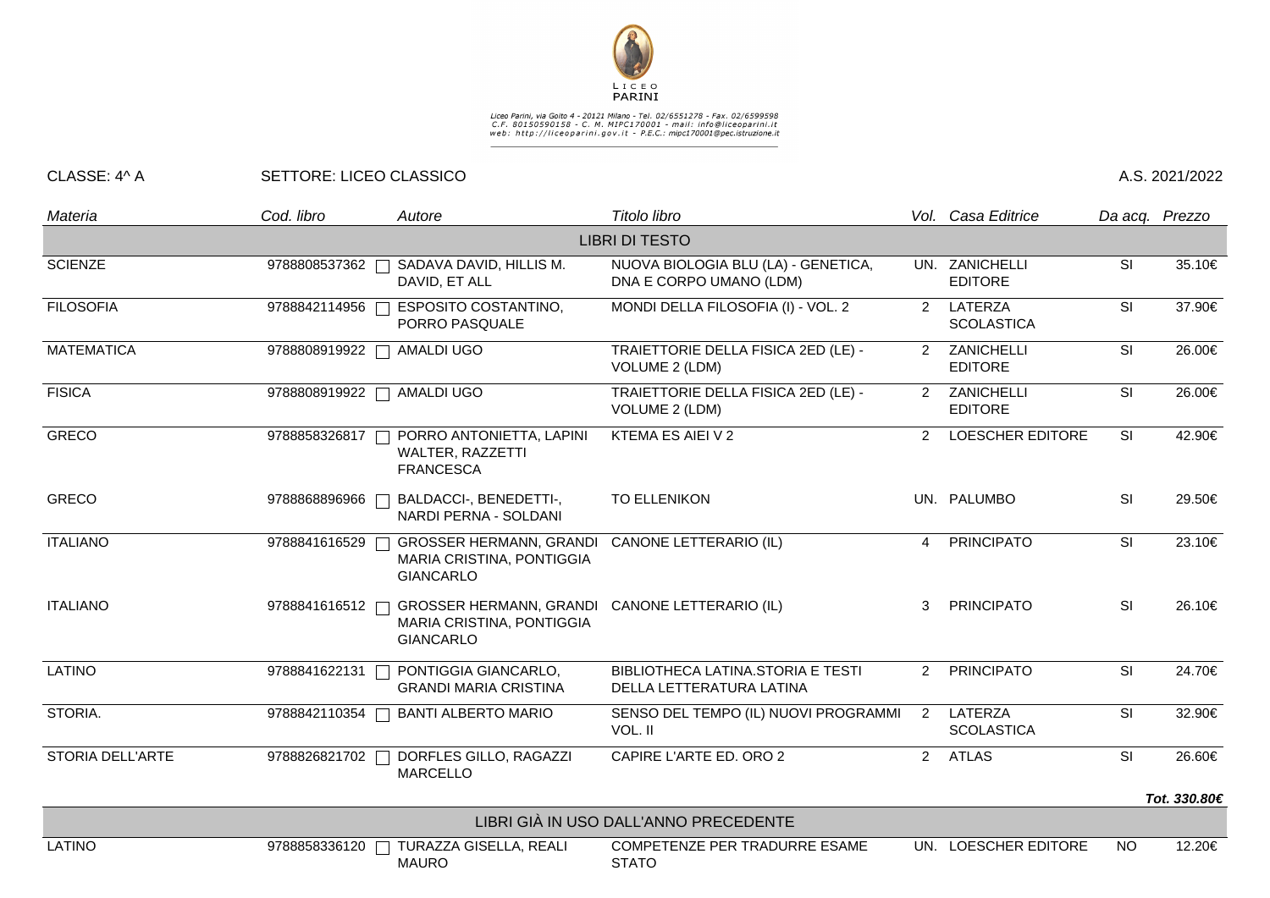

## Liceo Parini, via Goito 4 - 20121 Milano - Tel. 02/6551278 - Fax. 02/6599598<br>C.F. 80150590158 - C. M. MIPC170001 - mail: info@liceoparini.it<br>web: http://liceoparini.gov.it - P.E.C.: mipc170001@pec.istruzione.it

## CLASSE: 4^ A SETTORE: LICEO CLASSICO A.S. 2021/2022

| Materia                               | Cod. libro      | Autore                                                                                          | Titolo libro                                                   |                | Vol. Casa Editrice               | Da acq. Prezzo           |                        |  |  |  |  |
|---------------------------------------|-----------------|-------------------------------------------------------------------------------------------------|----------------------------------------------------------------|----------------|----------------------------------|--------------------------|------------------------|--|--|--|--|
| <b>LIBRI DI TESTO</b>                 |                 |                                                                                                 |                                                                |                |                                  |                          |                        |  |  |  |  |
| <b>SCIENZE</b>                        | 9788808537362 [ | SADAVA DAVID, HILLIS M.<br>DAVID, ET ALL                                                        | NUOVA BIOLOGIA BLU (LA) - GENETICA,<br>DNA E CORPO UMANO (LDM) |                | UN. ZANICHELLI<br><b>EDITORE</b> | SI                       | 35.10€                 |  |  |  |  |
| <b>FILOSOFIA</b>                      | 9788842114956   | <b>ESPOSITO COSTANTINO,</b><br>PORRO PASQUALE                                                   | MONDI DELLA FILOSOFIA (I) - VOL. 2                             | $\mathbf{2}$   | LATERZA<br><b>SCOLASTICA</b>     | SI                       | 37.90€                 |  |  |  |  |
| <b>MATEMATICA</b>                     | 9788808919922   | <b>AMALDI UGO</b>                                                                               | TRAIETTORIE DELLA FISICA 2ED (LE) -<br>VOLUME 2 (LDM)          | 2              | ZANICHELLI<br><b>EDITORE</b>     | SI                       | 26.00€                 |  |  |  |  |
| <b>FISICA</b>                         | 9788808919922   | AMALDI UGO                                                                                      | TRAIETTORIE DELLA FISICA 2ED (LE) -<br>VOLUME 2 (LDM)          | $\overline{2}$ | ZANICHELLI<br><b>EDITORE</b>     | SI                       | 26.00€                 |  |  |  |  |
| <b>GRECO</b>                          | 9788858326817   | PORRO ANTONIETTA, LAPINI<br>WALTER, RAZZETTI<br><b>FRANCESCA</b>                                | KTEMA ES AIEI V 2                                              | $\mathcal{P}$  | <b>LOESCHER EDITORE</b>          | SI                       | 42.90€                 |  |  |  |  |
| <b>GRECO</b>                          | 9788868896966   | BALDACCI-, BENEDETTI-,<br>NARDI PERNA - SOLDANI                                                 | <b>TO ELLENIKON</b>                                            |                | UN. PALUMBO                      | SI                       | 29.50€                 |  |  |  |  |
| <b>ITALIANO</b>                       | 9788841616529   | <b>GROSSER HERMANN, GRANDI</b><br>MARIA CRISTINA, PONTIGGIA<br><b>GIANCARLO</b>                 | <b>CANONE LETTERARIO (IL)</b>                                  | 4              | <b>PRINCIPATO</b>                | SI                       | 23.10€                 |  |  |  |  |
| <b>ITALIANO</b>                       | 9788841616512   | GROSSER HERMANN, GRANDI CANONE LETTERARIO (IL)<br>MARIA CRISTINA, PONTIGGIA<br><b>GIANCARLO</b> |                                                                | 3              | <b>PRINCIPATO</b>                | <b>SI</b>                | 26.10€                 |  |  |  |  |
| <b>LATINO</b>                         | 9788841622131   | PONTIGGIA GIANCARLO,<br><b>GRANDI MARIA CRISTINA</b>                                            | BIBLIOTHECA LATINA.STORIA E TESTI<br>DELLA LETTERATURA LATINA  | $\overline{2}$ | <b>PRINCIPATO</b>                | SI                       | 24.70€                 |  |  |  |  |
| STORIA.                               | 9788842110354   | <b>BANTI ALBERTO MARIO</b>                                                                      | SENSO DEL TEMPO (IL) NUOVI PROGRAMMI<br>VOL. II                | 2              | LATERZA<br><b>SCOLASTICA</b>     | SI                       | 32.90€                 |  |  |  |  |
| <b>STORIA DELL'ARTE</b>               | 9788826821702   | DORFLES GILLO, RAGAZZI<br><b>MARCELLO</b>                                                       | CAPIRE L'ARTE ED. ORO 2                                        |                | 2 ATLAS                          | $\overline{\mathsf{SI}}$ | 26.60€<br>Tot. 330.80€ |  |  |  |  |
| LIBRI GIÀ IN USO DALL'ANNO PRECEDENTE |                 |                                                                                                 |                                                                |                |                                  |                          |                        |  |  |  |  |
| <b>LATINO</b>                         | 9788858336120   | TURAZZA GISELLA, REALI                                                                          | COMPETENZE PER TRADURRE ESAME                                  |                | UN. LOESCHER EDITORE             | <b>NO</b>                | 12.20€                 |  |  |  |  |
|                                       |                 | <b>MAURO</b>                                                                                    | <b>STATO</b>                                                   |                |                                  |                          |                        |  |  |  |  |